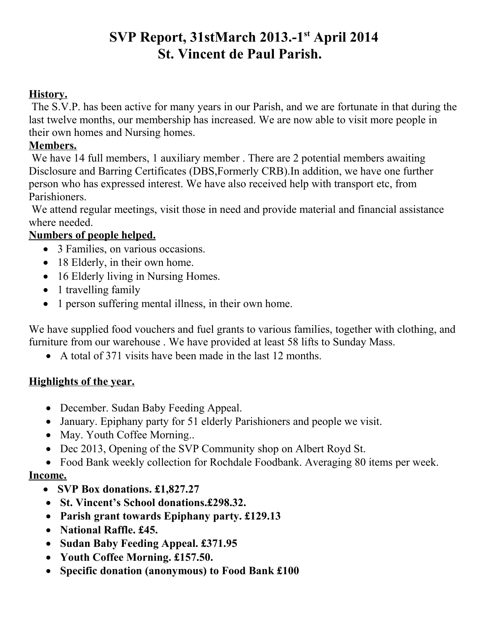# **SVP Report, 31stMarch 2013.-1st April 2014 St. Vincent de Paul Parish.**

### **History.**

 The S.V.P. has been active for many years in our Parish, and we are fortunate in that during the last twelve months, our membership has increased. We are now able to visit more people in their own homes and Nursing homes.

## **Members.**

We have 14 full members, 1 auxiliary member. There are 2 potential members awaiting Disclosure and Barring Certificates (DBS,Formerly CRB).In addition, we have one further person who has expressed interest. We have also received help with transport etc, from Parishioners.

We attend regular meetings, visit those in need and provide material and financial assistance where needed.

# **Numbers of people helped.**

- 3 Families, on various occasions.
- 18 Elderly, in their own home.
- 16 Elderly living in Nursing Homes.
- 1 travelling family
- 1 person suffering mental illness, in their own home.

We have supplied food vouchers and fuel grants to various families, together with clothing, and furniture from our warehouse . We have provided at least 58 lifts to Sunday Mass.

A total of 371 visits have been made in the last 12 months.

## **Highlights of the year.**

- December. Sudan Baby Feeding Appeal.
- January. Epiphany party for 51 elderly Parishioners and people we visit.
- May. Youth Coffee Morning...
- Dec 2013, Opening of the SVP Community shop on Albert Royd St.
- Food Bank weekly collection for Rochdale Foodbank. Averaging 80 items per week.

# **Income.**

- **SVP Box donations. £1,827.27**
- **St. Vincent's School donations.£298.32.**
- **Parish grant towards Epiphany party. £129.13**
- **National Raffle. £45.**
- **Sudan Baby Feeding Appeal. £371.95**
- **Youth Coffee Morning. £157.50.**
- **Specific donation (anonymous) to Food Bank £100**